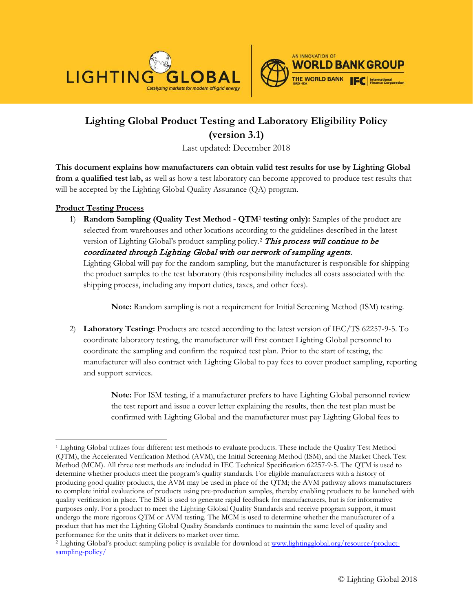



## **Lighting Global Product Testing and Laboratory Eligibility Policy (version 3.1)**

Last updated: December 2018

**This document explains how manufacturers can obtain valid test results for use by Lighting Global from a qualified test lab,** as well as how a test laboratory can become approved to produce test results that will be accepted by the Lighting Global Quality Assurance (QA) program.

## **Product Testing Process**

1) **Random Sampling (Quality Test Method - QTM[1](#page-0-0) testing only):** Samples of the product are selected from warehouses and other locations according to the guidelines described in the latest version of Lighting Global's product sampling policy.<sup>[2](#page-0-1)</sup> This process will continue to be coordinated through Lighting Global with our network of sampling agents. Lighting Global will pay for the random sampling, but the manufacturer is responsible for shipping the product samples to the test laboratory (this responsibility includes all costs associated with the shipping process, including any import duties, taxes, and other fees).

**Note:** Random sampling is not a requirement for Initial Screening Method (ISM) testing.

2) **Laboratory Testing:** Products are tested according to the latest version of IEC/TS 62257-9-5. To coordinate laboratory testing, the manufacturer will first contact Lighting Global personnel to coordinate the sampling and confirm the required test plan. Prior to the start of testing, the manufacturer will also contract with Lighting Global to pay fees to cover product sampling, reporting and support services.

> **Note:** For ISM testing, if a manufacturer prefers to have Lighting Global personnel review the test report and issue a cover letter explaining the results, then the test plan must be confirmed with Lighting Global and the manufacturer must pay Lighting Global fees to

<span id="page-0-0"></span> $\overline{a}$ <sup>1</sup> Lighting Global utilizes four different test methods to evaluate products. These include the Quality Test Method (QTM), the Accelerated Verification Method (AVM), the Initial Screening Method (ISM), and the Market Check Test Method (MCM). All three test methods are included in IEC Technical Specification 62257-9-5. The QTM is used to determine whether products meet the program's quality standards. For eligible manufacturers with a history of producing good quality products, the AVM may be used in place of the QTM; the AVM pathway allows manufacturers to complete initial evaluations of products using pre-production samples, thereby enabling products to be launched with quality verification in place. The ISM is used to generate rapid feedback for manufacturers, but is for informative purposes only. For a product to meet the Lighting Global Quality Standards and receive program support, it must undergo the more rigorous QTM or AVM testing. The MCM is used to determine whether the manufacturer of a product that has met the Lighting Global Quality Standards continues to maintain the same level of quality and performance for the units that it delivers to market over time.

<span id="page-0-1"></span><sup>&</sup>lt;sup>2</sup> Lighting Global's product sampling policy is available for download at www.lightingglobal.org/resource/productsampling-policy/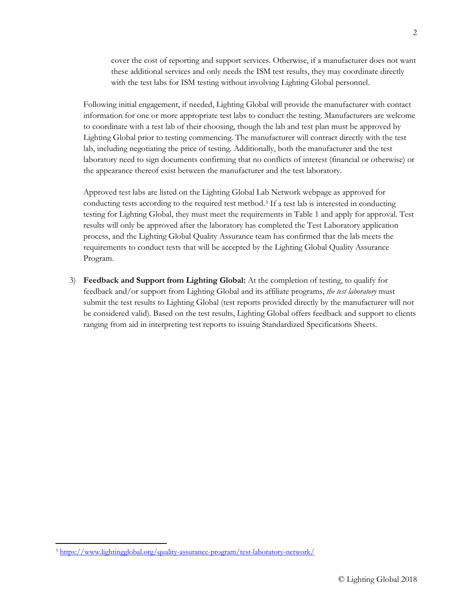cover the cost of reporting and support services. Otherwise, if a manufacturer does not want these additional services and only needs the ISM test results, they may coordinate directly with the test labs for ISM testing without involving Lighting Global personnel.

Following initial engagement, if needed, Lighting Global will provide the manufacturer with contact information for one or more appropriate test labs to conduct the testing. Manufacturers are welcome to coordinate with a test lab of their choosing, though the lab and test plan must be approved by Lighting Global prior to testing commencing. The manufacturer will contract directly with the test lab, including negotiating the price of testing. Additionally, both the manufacturer and the test laboratory need to sign documents confirming that no conflicts of interest (financial or otherwise) or the appearance thereof exist between the manufacturer and the test laboratory.

Approved test labs are listed on the Lighting Global Lab Network webpage as approved for conducting tests according to the required test method.[3](#page-1-0) If a test lab is interested in conducting testing for Lighting Global, they must meet the requirements in Table 1 and apply for approval. Test results will only be approved after the laboratory has completed the Test Laboratory application process, and the Lighting Global Quality Assurance team has confirmed that the lab meets the requirements to conduct tests that will be accepted by the Lighting Global Quality Assurance Program.

3) **Feedback and Support from Lighting Global:** At the completion of testing, to qualify for feedback and/or support from Lighting Global and its affiliate programs, *the test laboratory* must submit the test results to Lighting Global (test reports provided directly by the manufacturer will not be considered valid). Based on the test results, Lighting Global offers feedback and support to clients ranging from aid in interpreting test reports to issuing Standardized Specifications Sheets.

 $\overline{a}$ 

<span id="page-1-0"></span><sup>3</sup> https://www.lightingglobal.org/quality-assurance-program/test-laboratory-network/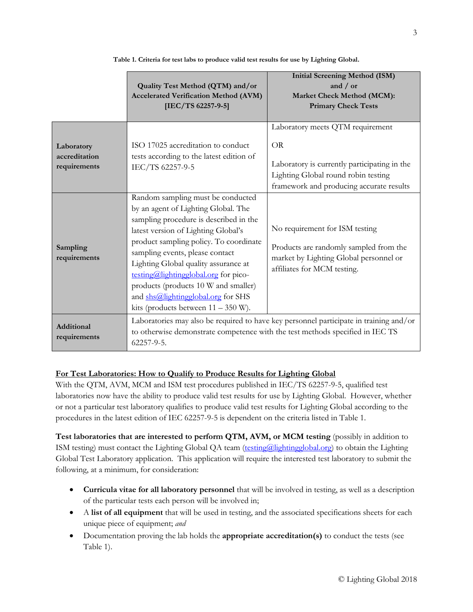|                                             | Quality Test Method (QTM) and/or<br><b>Accelerated Verification Method (AVM)</b><br>[IEC/TS 62257-9-5]                                                                                                                                                                                                                                                                                                                                        | <b>Initial Screening Method (ISM)</b><br>and / or<br>Market Check Method (MCM):<br><b>Primary Check Tests</b>                                                                    |
|---------------------------------------------|-----------------------------------------------------------------------------------------------------------------------------------------------------------------------------------------------------------------------------------------------------------------------------------------------------------------------------------------------------------------------------------------------------------------------------------------------|----------------------------------------------------------------------------------------------------------------------------------------------------------------------------------|
| Laboratory<br>accreditation<br>requirements | ISO 17025 accreditation to conduct<br>tests according to the latest edition of<br>IEC/TS 62257-9-5                                                                                                                                                                                                                                                                                                                                            | Laboratory meets QTM requirement<br><b>OR</b><br>Laboratory is currently participating in the<br>Lighting Global round robin testing<br>framework and producing accurate results |
| Sampling<br>requirements                    | Random sampling must be conducted<br>by an agent of Lighting Global. The<br>sampling procedure is described in the<br>latest version of Lighting Global's<br>product sampling policy. To coordinate<br>sampling events, please contact<br>Lighting Global quality assurance at<br>testing@lightingglobal.org for pico-<br>products (products 10 W and smaller)<br>and shs@lightingglobal.org for SHS<br>kits (products between $11 - 350$ W). | No requirement for ISM testing<br>Products are randomly sampled from the<br>market by Lighting Global personnel or<br>affiliates for MCM testing.                                |
| Additional<br>requirements                  | Laboratories may also be required to have key personnel participate in training and/or<br>to otherwise demonstrate competence with the test methods specified in IEC TS<br>$62257 - 9 - 5.$                                                                                                                                                                                                                                                   |                                                                                                                                                                                  |

**Table 1. Criteria for test labs to produce valid test results for use by Lighting Global.**

## **For Test Laboratories: How to Qualify to Produce Results for Lighting Global**

With the QTM, AVM, MCM and ISM test procedures published in IEC/TS 62257-9-5, qualified test laboratories now have the ability to produce valid test results for use by Lighting Global. However, whether or not a particular test laboratory qualifies to produce valid test results for Lighting Global according to the procedures in the latest edition of IEC 62257-9-5 is dependent on the criteria listed in Table 1.

**Test laboratories that are interested to perform QTM, AVM, or MCM testing** (possibly in addition to ISM testing) must contact the Lighting Global QA team [\(testing@lightingglobal.org\)](mailto:testing@lightingglobal.org) to obtain the Lighting Global Test Laboratory application. This application will require the interested test laboratory to submit the following, at a minimum, for consideration:

- **Curricula vitae for all laboratory personnel** that will be involved in testing, as well as a description of the particular tests each person will be involved in;
- A **list of all equipment** that will be used in testing, and the associated specifications sheets for each unique piece of equipment; *and*
- Documentation proving the lab holds the **appropriate accreditation(s)** to conduct the tests (see Table 1).